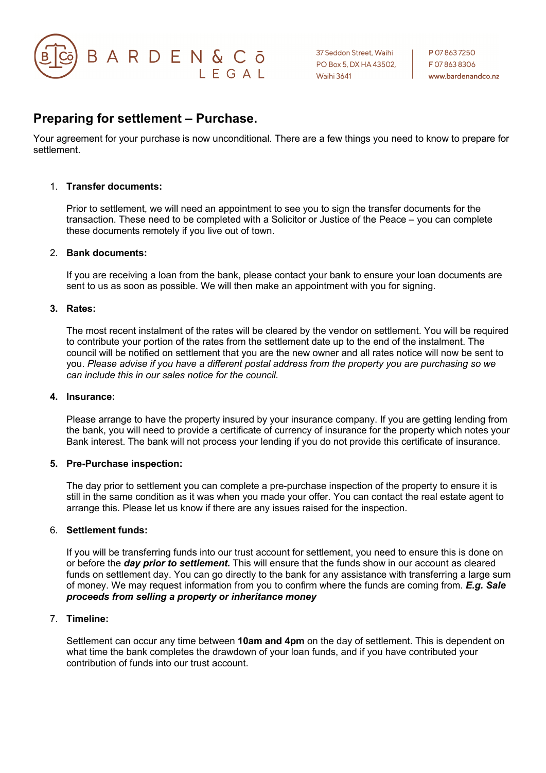

P 07 863 7250 F078638306 www.bardenandco.nz

## **Preparing for settlement – Purchase.**

Your agreement for your purchase is now unconditional. There are a few things you need to know to prepare for settlement.

#### 1. **Transfer documents:**

Prior to settlement, we will need an appointment to see you to sign the transfer documents for the transaction. These need to be completed with a Solicitor or Justice of the Peace – you can complete these documents remotely if you live out of town.

#### 2. **Bank documents:**

If you are receiving a loan from the bank, please contact your bank to ensure your loan documents are sent to us as soon as possible. We will then make an appointment with you for signing.

#### **3. Rates:**

The most recent instalment of the rates will be cleared by the vendor on settlement. You will be required to contribute your portion of the rates from the settlement date up to the end of the instalment. The council will be notified on settlement that you are the new owner and all rates notice will now be sent to you. *Please advise if you have a different postal address from the property you are purchasing so we can include this in our sales notice for the council.*

#### **4. Insurance:**

Please arrange to have the property insured by your insurance company. If you are getting lending from the bank, you will need to provide a certificate of currency of insurance for the property which notes your Bank interest. The bank will not process your lending if you do not provide this certificate of insurance.

#### **5. Pre-Purchase inspection:**

The day prior to settlement you can complete a pre-purchase inspection of the property to ensure it is still in the same condition as it was when you made your offer. You can contact the real estate agent to arrange this. Please let us know if there are any issues raised for the inspection.

#### 6. **Settlement funds:**

If you will be transferring funds into our trust account for settlement, you need to ensure this is done on or before the *day prior to settlement.* This will ensure that the funds show in our account as cleared funds on settlement day. You can go directly to the bank for any assistance with transferring a large sum of money. We may request information from you to confirm where the funds are coming from. *E.g. Sale proceeds from selling a property or inheritance money* 

#### 7. **Timeline:**

Settlement can occur any time between **10am and 4pm** on the day of settlement. This is dependent on what time the bank completes the drawdown of your loan funds, and if you have contributed your contribution of funds into our trust account.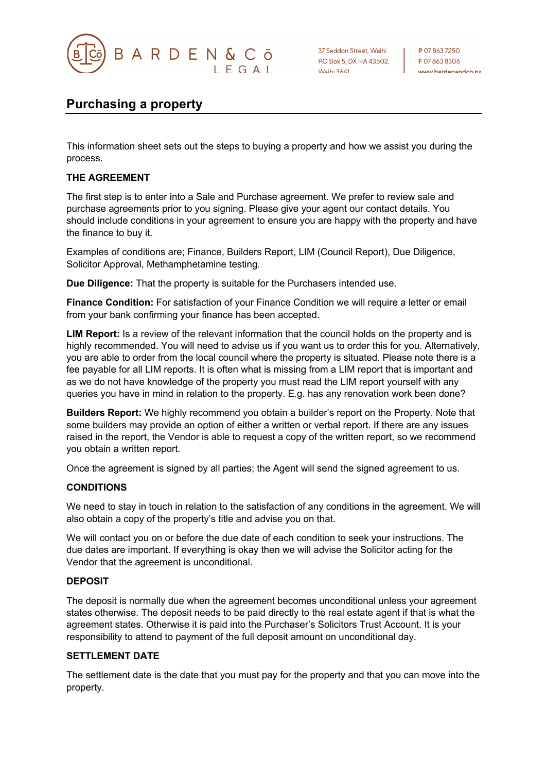

37 Seddon Street, Waihi PO Box 5, DX HA 43502, **Waihi 3641** 

P 078637250 F078638306 www.bardonandco.nz

# **Purchasing a property**

This information sheet sets out the steps to buying a property and how we assist you during the process.

#### **THE AGREEMENT**

The first step is to enter into a Sale and Purchase agreement. We prefer to review sale and purchase agreements prior to you signing. Please give your agent our contact details. You should include conditions in your agreement to ensure you are happy with the property and have the finance to buy it.

Examples of conditions are; Finance, Builders Report, LIM (Council Report), Due Diligence, Solicitor Approval, Methamphetamine testing.

**Due Diligence:** That the property is suitable for the Purchasers intended use.

**Finance Condition:** For satisfaction of your Finance Condition we will require a letter or email from your bank confirming your finance has been accepted.

**LIM Report:** Is a review of the relevant information that the council holds on the property and is highly recommended. You will need to advise us if you want us to order this for you. Alternatively, you are able to order from the local council where the property is situated. Please note there is a fee payable for all LIM reports. It is often what is missing from a LIM report that is important and as we do not have knowledge of the property you must read the LIM report yourself with any queries you have in mind in relation to the property. E.g. has any renovation work been done?

**Builders Report:** We highly recommend you obtain a builder's report on the Property. Note that some builders may provide an option of either a written or verbal report. If there are any issues raised in the report, the Vendor is able to request a copy of the written report, so we recommend you obtain a written report.

Once the agreement is signed by all parties; the Agent will send the signed agreement to us.

#### **CONDITIONS**

We need to stay in touch in relation to the satisfaction of any conditions in the agreement. We will also obtain a copy of the property's title and advise you on that.

We will contact you on or before the due date of each condition to seek your instructions. The due dates are important. If everything is okay then we will advise the Solicitor acting for the Vendor that the agreement is unconditional.

#### **DEPOSIT**

The deposit is normally due when the agreement becomes unconditional unless your agreement states otherwise. The deposit needs to be paid directly to the real estate agent if that is what the agreement states. Otherwise it is paid into the Purchaser's Solicitors Trust Account. It is your responsibility to attend to payment of the full deposit amount on unconditional day.

#### **SETTLEMENT DATE**

The settlement date is the date that you must pay for the property and that you can move into the property.